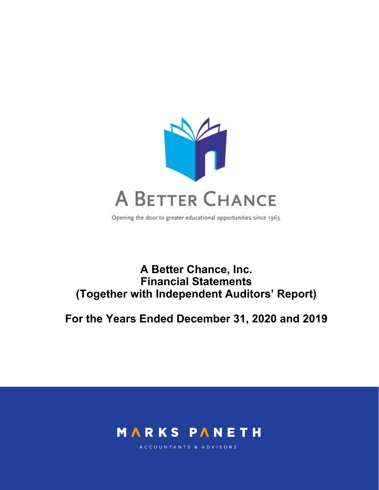

Opening the door to greater educational opportunities since 1963.

# **A Better Chance, Inc. Financial Statements (Together with Independent Auditors' Report)**

**For the Years Ended December 31, 2020 and 2019** 



ACCOUNTANTS & ADVISORS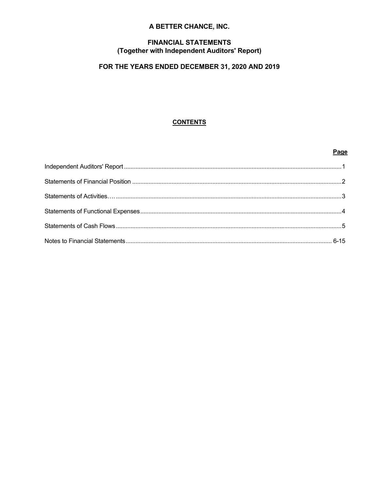# A BETTER CHANCE, INC.

# **FINANCIAL STATEMENTS** (Together with Independent Auditors' Report)

# FOR THE YEARS ENDED DECEMBER 31, 2020 AND 2019

# **CONTENTS**

## Page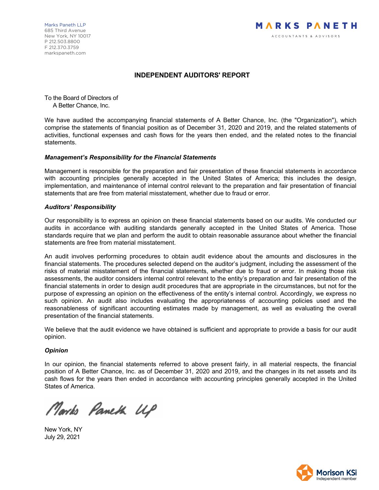# **INDEPENDENT AUDITORS' REPORT**

To the Board of Directors of A Better Chance, Inc.

We have audited the accompanying financial statements of A Better Chance, Inc. (the "Organization"), which comprise the statements of financial position as of December 31, 2020 and 2019, and the related statements of activities, functional expenses and cash flows for the years then ended, and the related notes to the financial statements.

#### *Management's Responsibility for the Financial Statements*

Management is responsible for the preparation and fair presentation of these financial statements in accordance with accounting principles generally accepted in the United States of America; this includes the design, implementation, and maintenance of internal control relevant to the preparation and fair presentation of financial statements that are free from material misstatement, whether due to fraud or error.

#### *Auditors' Responsibility*

Our responsibility is to express an opinion on these financial statements based on our audits. We conducted our audits in accordance with auditing standards generally accepted in the United States of America. Those standards require that we plan and perform the audit to obtain reasonable assurance about whether the financial statements are free from material misstatement.

An audit involves performing procedures to obtain audit evidence about the amounts and disclosures in the financial statements. The procedures selected depend on the auditor's judgment, including the assessment of the risks of material misstatement of the financial statements, whether due to fraud or error. In making those risk assessments, the auditor considers internal control relevant to the entity's preparation and fair presentation of the financial statements in order to design audit procedures that are appropriate in the circumstances, but not for the purpose of expressing an opinion on the effectiveness of the entity's internal control. Accordingly, we express no such opinion. An audit also includes evaluating the appropriateness of accounting policies used and the reasonableness of significant accounting estimates made by management, as well as evaluating the overall presentation of the financial statements.

We believe that the audit evidence we have obtained is sufficient and appropriate to provide a basis for our audit opinion.

# *Opinion*

In our opinion, the financial statements referred to above present fairly, in all material respects, the financial position of A Better Chance, Inc. as of December 31, 2020 and 2019, and the changes in its net assets and its cash flows for the years then ended in accordance with accounting principles generally accepted in the United States of America.

Marks Pameth UP

New York, NY July 29, 2021

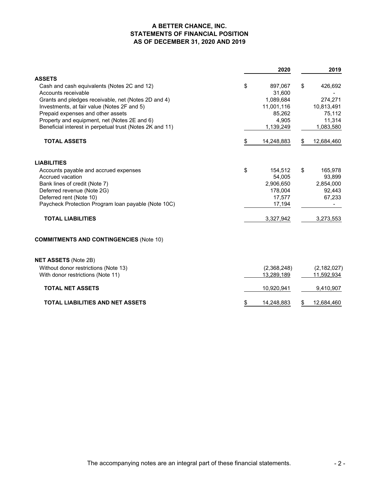# **A BETTER CHANCE, INC. STATEMENTS OF FINANCIAL POSITION AS OF DECEMBER 31, 2020 AND 2019**

|                                                          |     | 2020        | 2019             |
|----------------------------------------------------------|-----|-------------|------------------|
| <b>ASSETS</b>                                            |     |             |                  |
| Cash and cash equivalents (Notes 2C and 12)              | \$  | 897,067     | \$<br>426,692    |
| Accounts receivable                                      |     | 31,600      |                  |
| Grants and pledges receivable, net (Notes 2D and 4)      |     | 1,089,684   | 274,271          |
| Investments, at fair value (Notes 2F and 5)              |     | 11,001,116  | 10,813,491       |
| Prepaid expenses and other assets                        |     | 85,262      | 75,112           |
| Property and equipment, net (Notes 2E and 6)             |     | 4,905       | 11,314           |
| Beneficial interest in perpetual trust (Notes 2K and 11) |     | 1,139,249   | 1,083,580        |
| <b>TOTAL ASSETS</b>                                      | \$. | 14,248,883  | \$<br>12,684,460 |
| <b>LIABILITIES</b>                                       |     |             |                  |
| Accounts payable and accrued expenses                    | \$  | 154,512     | \$<br>165,978    |
| Accrued vacation                                         |     | 54.005      | 93,899           |
| Bank lines of credit (Note 7)                            |     | 2,906,650   | 2,854,000        |
| Deferred revenue (Note 2G)                               |     | 178,004     | 92,443           |
| Deferred rent (Note 10)                                  |     | 17,577      | 67,233           |
| Paycheck Protection Program loan payable (Note 10C)      |     | 17,194      |                  |
| <b>TOTAL LIABILITIES</b>                                 |     | 3,327,942   | 3,273,553        |
| <b>COMMITMENTS AND CONTINGENCIES (Note 10)</b>           |     |             |                  |
| <b>NET ASSETS (Note 2B)</b>                              |     |             |                  |
| Without donor restrictions (Note 13)                     |     | (2,368,248) | (2, 182, 027)    |
| With donor restrictions (Note 11)                        |     | 13,289,189  | 11,592,934       |
| <b>TOTAL NET ASSETS</b>                                  |     | 10,920,941  | 9,410,907        |
| TOTAL LIABILITIES AND NET ASSETS                         | \$  | 14,248,883  | \$<br>12,684,460 |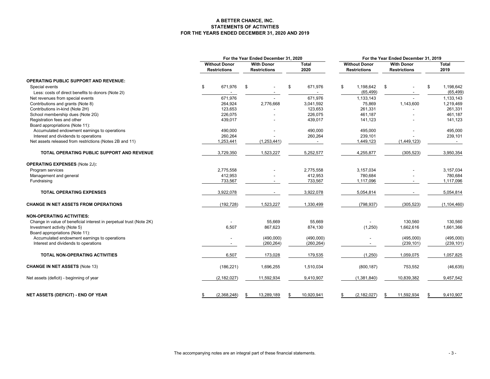#### **A BETTER CHANCE, INC. STATEMENTS OF ACTIVITIESFOR THE YEARS ENDED DECEMBER 31, 2020 AND 2019**

|                                                                     |                                             |                                          | For the Year Ended December 31, 2020 |                          | For the Year Ended December 31, 2019 |                                             |    |                                          |    |               |
|---------------------------------------------------------------------|---------------------------------------------|------------------------------------------|--------------------------------------|--------------------------|--------------------------------------|---------------------------------------------|----|------------------------------------------|----|---------------|
|                                                                     | <b>Without Donor</b><br><b>Restrictions</b> | <b>With Donor</b><br><b>Restrictions</b> |                                      | <b>Total</b><br>2020     |                                      | <b>Without Donor</b><br><b>Restrictions</b> |    | <b>With Donor</b><br><b>Restrictions</b> |    | Total<br>2019 |
| <b>OPERATING PUBLIC SUPPORT AND REVENUE:</b>                        |                                             |                                          |                                      |                          |                                      |                                             |    |                                          |    |               |
| Special events                                                      | \$<br>671,976                               | \$                                       |                                      | \$<br>671,976            | \$                                   | 1,198,642                                   | \$ |                                          | \$ | 1,198,642     |
| Less: costs of direct benefits to donors (Note 2I)                  |                                             |                                          |                                      |                          |                                      | (65, 499)                                   |    | $\blacksquare$                           |    | (65, 499)     |
| Net revenues from special events                                    | 671,976                                     |                                          |                                      | 671,976                  |                                      | 1,133,143                                   |    |                                          |    | 1,133,143     |
| Contributions and grants (Note 8)                                   | 264,924                                     |                                          | 2,776,668                            | 3,041,592                |                                      | 75,869                                      |    | 1,143,600                                |    | 1,219,469     |
| Contributions in-kind (Note 2H)                                     | 123,653                                     |                                          |                                      | 123,653                  |                                      | 261,331                                     |    |                                          |    | 261,331       |
| School membership dues (Note 2G)                                    | 226,075                                     |                                          |                                      | 226,075                  |                                      | 461,187                                     |    |                                          |    | 461,187       |
| Registration fees and other                                         | 439,017                                     |                                          |                                      | 439,017                  |                                      | 141,123                                     |    |                                          |    | 141,123       |
| Board appropriations (Note 11):                                     |                                             |                                          |                                      |                          |                                      |                                             |    |                                          |    |               |
| Accumulated endowment earnings to operations                        | 490,000                                     |                                          |                                      | 490,000                  |                                      | 495,000                                     |    |                                          |    | 495,000       |
| Interest and dividends to operations                                | 260,264                                     |                                          |                                      | 260,264                  |                                      | 239,101                                     |    |                                          |    | 239,101       |
| Net assets released from restrictions (Notes 2B and 11)             | 1,253,441                                   |                                          | (1,253,441)                          | $\overline{\phantom{a}}$ |                                      | 1,449,123                                   |    | (1,449,123)                              |    | $\sim$        |
|                                                                     |                                             |                                          |                                      |                          |                                      |                                             |    |                                          |    |               |
| TOTAL OPERATING PUBLIC SUPPORT AND REVENUE                          | 3,729,350                                   |                                          | 1,523,227                            | 5,252,577                |                                      | 4,255,877                                   |    | (305, 523)                               |    | 3,950,354     |
| <b>OPERATING EXPENSES (Note 2J):</b>                                |                                             |                                          |                                      |                          |                                      |                                             |    |                                          |    |               |
| Program services                                                    | 2,775,558                                   |                                          |                                      | 2,775,558                |                                      | 3,157,034                                   |    |                                          |    | 3,157,034     |
| Management and general                                              | 412,953                                     |                                          |                                      | 412,953                  |                                      | 780,684                                     |    |                                          |    | 780,684       |
| Fundraising                                                         | 733,567                                     |                                          |                                      | 733,567                  |                                      | 1,117,096                                   |    |                                          |    | 1,117,096     |
| <b>TOTAL OPERATING EXPENSES</b>                                     | 3,922,078                                   |                                          |                                      | 3,922,078                |                                      | 5,054,814                                   |    |                                          |    | 5,054,814     |
| <b>CHANGE IN NET ASSETS FROM OPERATIONS</b>                         | (192, 728)                                  |                                          | 1,523,227                            | 1,330,499                |                                      | (798, 937)                                  |    | (305, 523)                               |    | (1, 104, 460) |
| <b>NON-OPERATING ACTIVITIES:</b>                                    |                                             |                                          |                                      |                          |                                      |                                             |    |                                          |    |               |
| Change in value of beneficial interest in perpetual trust (Note 2K) |                                             |                                          | 55,669                               | 55,669                   |                                      |                                             |    | 130.560                                  |    | 130,560       |
| Investment activity (Note 5)                                        | 6,507                                       |                                          | 867,623                              | 874,130                  |                                      | (1,250)                                     |    | 1,662,616                                |    | 1,661,366     |
| Board appropriations (Note 11):                                     |                                             |                                          |                                      |                          |                                      |                                             |    |                                          |    |               |
| Accumulated endowment earnings to operations                        | $\overline{\phantom{a}}$                    |                                          | (490,000)                            | (490,000)                |                                      |                                             |    | (495,000)                                |    | (495,000)     |
| Interest and dividends to operations                                |                                             |                                          | (260, 264)                           | (260, 264)               |                                      |                                             |    | (239, 101)                               |    | (239, 101)    |
| <b>TOTAL NON-OPERATING ACTIVITIES</b>                               | 6,507                                       |                                          | 173,028                              | 179,535                  |                                      | (1,250)                                     |    | 1,059,075                                |    | 1,057,825     |
| <b>CHANGE IN NET ASSETS (Note 13)</b>                               | (186, 221)                                  |                                          | 1,696,255                            | 1,510,034                |                                      | (800, 187)                                  |    | 753,552                                  |    | (46, 635)     |
| Net assets (deficit) - beginning of year                            | (2, 182, 027)                               |                                          | 11,592,934                           | 9,410,907                |                                      | (1,381,840)                                 |    | 10,839,382                               |    | 9,457,542     |
| <b>NET ASSETS (DEFICIT) - END OF YEAR</b>                           | \$<br>(2,368,248)                           | \$                                       | 13,289,189                           | \$<br>10,920,941         |                                      | (2, 182, 027)                               | \$ | 11,592,934                               | \$ | 9,410,907     |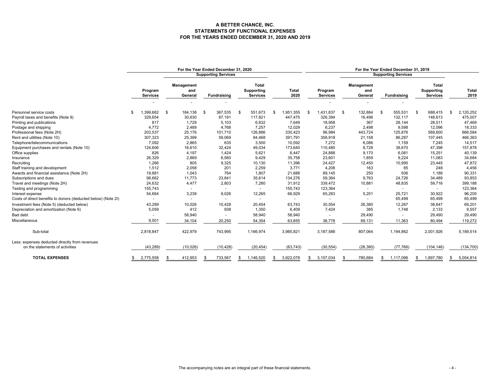#### **A BETTER CHANCE, INC. STATEMENTS OF FUNCTIONAL EXPENSESFOR THE YEARS ENDED DECEMBER 31, 2020 AND 2019**

|                                                               | For the Year Ended December 31, 2020 |           |                              |     |                            |      | For the Year Ended December 31, 2019          |                      |    |                            |               |                              |    |                            |    |                                               |     |                      |
|---------------------------------------------------------------|--------------------------------------|-----------|------------------------------|-----|----------------------------|------|-----------------------------------------------|----------------------|----|----------------------------|---------------|------------------------------|----|----------------------------|----|-----------------------------------------------|-----|----------------------|
|                                                               |                                      |           |                              |     | <b>Supporting Services</b> |      |                                               |                      |    |                            |               |                              |    | <b>Supporting Services</b> |    |                                               |     |                      |
|                                                               | Program<br><b>Services</b>           |           | Management<br>and<br>General |     | Fundraising                |      | <b>Total</b><br>Supporting<br><b>Services</b> | <b>Total</b><br>2020 |    | Program<br><b>Services</b> |               | Management<br>and<br>General |    | <b>Fundraising</b>         |    | <b>Total</b><br>Supporting<br><b>Services</b> |     | <b>Total</b><br>2019 |
|                                                               |                                      |           |                              |     |                            |      |                                               |                      |    |                            |               |                              |    |                            |    |                                               |     |                      |
| Personnel service costs                                       | 1,399,682                            | <b>.s</b> | 184,138                      | . ጽ | 367,535                    | - \$ | 551,673                                       | \$<br>1,951,355      | ς. | 1,431,837                  | <sup>\$</sup> | 132,884                      | \$ | 555,531                    | \$ | 688,415                                       | \$. | 2,120,252            |
| Payroll taxes and benefits (Note 9)                           | 329,654                              |           | 30,630                       |     | 87,191                     |      | 117,821                                       | 447,475              |    | 326,394                    |               | 16,496                       |    | 132,117                    |    | 148,613                                       |     | 475,007              |
| Printing and publications                                     | 817                                  |           | 1,729                        |     | 5.103                      |      | 6.832                                         | 7,649                |    | 18,958                     |               | 367                          |    | 28,144                     |    | 28,511                                        |     | 47,469               |
| Postage and shipping                                          | 4.772                                |           | 2,489                        |     | 4,768                      |      | 7.257                                         | 12,029               |    | 6,237                      |               | 2,498                        |    | 9,598                      |    | 12,096                                        |     | 18,333               |
| Professional fees (Note 2H)                                   | 203,537                              |           | 25,176                       |     | 101,710                    |      | 126,886                                       | 330,423              |    | 96,984                     |               | 443,724                      |    | 125,876                    |    | 569,600                                       |     | 666,584              |
| Rent and utilities (Note 10)                                  | 307,323                              |           | 25,399                       |     | 59,069                     |      | 84,468                                        | 391,791              |    | 358,918                    |               | 21,158                       |    | 86,287                     |    | 107,445                                       |     | 466,363              |
| Telephone/telecommunications                                  | 7,092                                |           | 2.865                        |     | 635                        |      | 3,500                                         | 10,592               |    | 7,272                      |               | 6,086                        |    | 1.159                      |    | 7.245                                         |     | 14,517               |
| Equipment purchases and rentals (Note 10)                     | 124,606                              |           | 16,610                       |     | 32,424                     |      | 49,034                                        | 173,640              |    | 110,480                    |               | 8,728                        |    | 38,670                     |    | 47,398                                        |     | 157,878              |
| Office supplies                                               | 826                                  |           | 4,197                        |     | 1,424                      |      | 5,621                                         | 6,447                |    | 24,888                     |               | 9,170                        |    | 6,081                      |    | 15,251                                        |     | 40,139               |
| Insurance                                                     | 26,329                               |           | 2,869                        |     | 6,560                      |      | 9.429                                         | 35,758               |    | 23,601                     |               | 1,859                        |    | 9.224                      |    | 11,083                                        |     | 34,684               |
| Recruiting                                                    | 1,266                                |           | 805                          |     | 9,325                      |      | 10,130                                        | 11,396               |    | 24,427                     |               | 12,450                       |    | 10,995                     |    | 23,445                                        |     | 47,872               |
| Staff training and development                                | 1,512                                |           | 2,058                        |     | 201                        |      | 2,259                                         | 3,771                |    | 4,208                      |               | 163                          |    | 85                         |    | 248                                           |     | 4,456                |
| Awards and financial assistance (Note 2H)                     | 19,881                               |           | 1.043                        |     | 764                        |      | 1.807                                         | 21,688               |    | 89,145                     |               | 250                          |    | 936                        |    | 1.186                                         |     | 90,331               |
| Subscriptions and dues                                        | 98,662                               |           | 11,773                       |     | 23,841                     |      | 35,614                                        | 134,276              |    | 59,364                     |               | 9,763                        |    | 24,726                     |    | 34,489                                        |     | 93,853               |
| Travel and meetings (Note 2H)                                 | 24,632                               |           | 4,477                        |     | 2,803                      |      | 7,280                                         | 31,912               |    | 339,472                    |               | 10,881                       |    | 48,835                     |    | 59,716                                        |     | 399,188              |
| Testing and programming                                       | 155,743                              |           |                              |     |                            |      |                                               | 155,743              |    | 123,364                    |               | $\sim$                       |    |                            |    |                                               |     | 123,364              |
| Interest expense                                              | 54,664                               |           | 3,239                        |     | 9,026                      |      | 12,265                                        | 66,929               |    | 65,283                     |               | 5,201                        |    | 25,721                     |    | 30,922                                        |     | 96,205               |
| Costs of direct benefits to donors (deducted below) (Note 2I) |                                      |           |                              |     |                            |      |                                               | ٠                    |    |                            |               | $\sim$                       |    | 65,499                     |    | 65,499                                        |     | 65,499               |
| Investment fees (Note 5) (deducted below)                     | 43,289                               |           | 10,026                       |     | 10,428                     |      | 20.454                                        | 63,743               |    | 30,554                     |               | 26,380                       |    | 12,267                     |    | 38,647                                        |     | 69,201               |
| Depreciation and amortization (Note 6)                        | 5,059                                |           | 412                          |     | 938                        |      | 1.350                                         | 6,409                |    | 7,424                      |               | 385                          |    | 1,748                      |    | 2,133                                         |     | 9,557                |
| <b>Bad debt</b>                                               |                                      |           | 58,940                       |     |                            |      | 58,940                                        | 58,940               |    |                            |               | 29,490                       |    |                            |    | 29,490                                        |     | 29,490               |
| Miscellaneous                                                 | 9,501                                |           | 34,104                       |     | 20,250                     |      | 54,354                                        | 63,855               |    | 38,778                     |               | 69,131                       |    | 11,363                     |    | 80,494                                        |     | 119,272              |
| Sub-total                                                     | 2,818,847                            |           | 422,979                      |     | 743,995                    |      | 1,166,974                                     | 3,985,821            |    | 3,187,588                  |               | 807,064                      |    | 1,194,862                  |    | 2,001,926                                     |     | 5,189,514            |
| Less: expenses deducted directly from revenues                |                                      |           |                              |     |                            |      |                                               |                      |    |                            |               |                              |    |                            |    |                                               |     |                      |
| on the statements of activities                               | (43, 289)                            |           | (10, 026)                    |     | (10, 428)                  |      | (20, 454)                                     | (63, 743)            |    | (30, 554)                  |               | (26, 380)                    |    | (77, 766)                  |    | (104, 146)                                    |     | (134, 700)           |
| <b>TOTAL EXPENSES</b>                                         | \$<br>2,775,558                      |           | 412,953                      |     | 733,567                    |      | 1,146,520                                     | 3,922,078            |    | 3,157,034                  | \$.           | 780,684                      | \$ | 1,117,096                  | \$ | 1,897,780                                     | S   | 5,054,814            |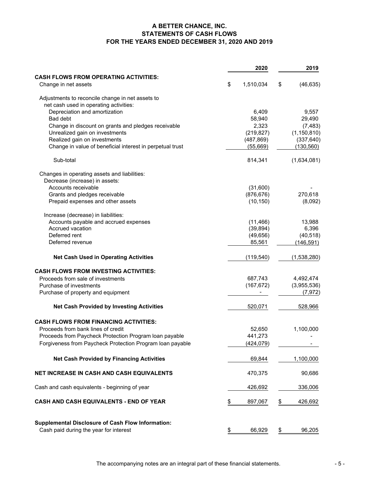# **A BETTER CHANCE, INC. STATEMENTS OF CASH FLOWS FOR THE YEARS ENDED DECEMBER 31, 2020 AND 2019**

|                                                           | 2020            | 2019            |
|-----------------------------------------------------------|-----------------|-----------------|
| <b>CASH FLOWS FROM OPERATING ACTIVITIES:</b>              |                 |                 |
| Change in net assets                                      | \$<br>1,510,034 | \$<br>(46, 635) |
| Adjustments to reconcile change in net assets to          |                 |                 |
| net cash used in operating activities:                    |                 |                 |
| Depreciation and amortization                             | 6,409           | 9,557           |
| Bad debt                                                  | 58,940          | 29,490          |
| Change in discount on grants and pledges receivable       | 2,323           | (7, 483)        |
| Unrealized gain on investments                            | (219, 827)      | (1, 150, 810)   |
| Realized gain on investments                              | (487, 869)      | (337, 640)      |
| Change in value of beneficial interest in perpetual trust | (55,669)        | (130,560)       |
| Sub-total                                                 | 814,341         | (1,634,081)     |
| Changes in operating assets and liabilities:              |                 |                 |
| Decrease (increase) in assets:                            |                 |                 |
| Accounts receivable                                       | (31,600)        |                 |
| Grants and pledges receivable                             | (876, 676)      | 270,618         |
| Prepaid expenses and other assets                         | (10, 150)       | (8,092)         |
| Increase (decrease) in liabilities:                       |                 |                 |
| Accounts payable and accrued expenses                     | (11, 466)       | 13,988          |
| Accrued vacation                                          | (39, 894)       | 6,396           |
| Deferred rent                                             | (49, 656)       | (40, 518)       |
| Deferred revenue                                          | 85,561          | (146, 591)      |
| <b>Net Cash Used in Operating Activities</b>              | (119, 540)      | (1,538,280)     |
| <b>CASH FLOWS FROM INVESTING ACTIVITIES:</b>              |                 |                 |
| Proceeds from sale of investments                         | 687,743         | 4,492,474       |
| Purchase of investments                                   | (167, 672)      | (3,955,536)     |
| Purchase of property and equipment                        |                 | (7, 972)        |
| <b>Net Cash Provided by Investing Activities</b>          | 520,071         | 528,966         |
| <b>CASH FLOWS FROM FINANCING ACTIVITIES:</b>              |                 |                 |
| Proceeds from bank lines of credit                        | 52,650          | 1,100,000       |
| Proceeds from Paycheck Protection Program loan payable    | 441,273         |                 |
| Forgiveness from Paycheck Protection Program loan payable | (424, 079)      |                 |
| <b>Net Cash Provided by Financing Activities</b>          | 69,844          | 1,100,000       |
| NET INCREASE IN CASH AND CASH EQUIVALENTS                 | 470,375         | 90,686          |
| Cash and cash equivalents - beginning of year             | 426,692         | 336,006         |
| CASH AND CASH EQUIVALENTS - END OF YEAR                   | \$<br>897,067   | \$<br>426,692   |
|                                                           |                 |                 |
| <b>Supplemental Disclosure of Cash Flow Information:</b>  |                 |                 |
| Cash paid during the year for interest                    | \$<br>66,929    | \$<br>96,205    |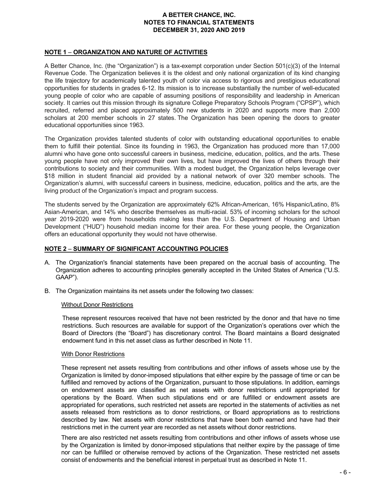#### **NOTE 1** – **ORGANIZATION AND NATURE OF ACTIVITIES**

A Better Chance, Inc. (the "Organization") is a tax-exempt corporation under Section 501(c)(3) of the Internal Revenue Code. The Organization believes it is the oldest and only national organization of its kind changing the life trajectory for academically talented youth of color via access to rigorous and prestigious educational opportunities for students in grades 6-12. Its mission is to increase substantially the number of well-educated young people of color who are capable of assuming positions of responsibility and leadership in American society. It carries out this mission through its signature College Preparatory Schools Program ("CPSP"), which recruited, referred and placed approximately 500 new students in 2020 and supports more than 2,000 scholars at 200 member schools in 27 states. The Organization has been opening the doors to greater educational opportunities since 1963.

The Organization provides talented students of color with outstanding educational opportunities to enable them to fulfill their potential. Since its founding in 1963, the Organization has produced more than 17,000 alumni who have gone onto successful careers in business, medicine, education, politics, and the arts. These young people have not only improved their own lives, but have improved the lives of others through their contributions to society and their communities. With a modest budget, the Organization helps leverage over \$18 million in student financial aid provided by a national network of over 320 member schools. The Organization's alumni, with successful careers in business, medicine, education, politics and the arts, are the living product of the Organization's impact and program success.

The students served by the Organization are approximately 62% African-American, 16% Hispanic/Latino, 8% Asian-American, and 14% who describe themselves as multi-racial. 53% of incoming scholars for the school year 2019-2020 were from households making less than the U.S. Department of Housing and Urban Development ("HUD") household median income for their area. For these young people, the Organization offers an educational opportunity they would not have otherwise.

#### **NOTE 2** – **SUMMARY OF SIGNIFICANT ACCOUNTING POLICIES**

- A. The Organization's financial statements have been prepared on the accrual basis of accounting. The Organization adheres to accounting principles generally accepted in the United States of America ("U.S. GAAP").
- B. The Organization maintains its net assets under the following two classes:

#### Without Donor Restrictions

These represent resources received that have not been restricted by the donor and that have no time restrictions. Such resources are available for support of the Organization's operations over which the Board of Directors (the "Board") has discretionary control. The Board maintains a Board designated endowment fund in this net asset class as further described in Note 11.

#### With Donor Restrictions

These represent net assets resulting from contributions and other inflows of assets whose use by the Organization is limited by donor-imposed stipulations that either expire by the passage of time or can be fulfilled and removed by actions of the Organization, pursuant to those stipulations. In addition, earnings on endowment assets are classified as net assets with donor restrictions until appropriated for operations by the Board. When such stipulations end or are fulfilled or endowment assets are appropriated for operations, such restricted net assets are reported in the statements of activities as net assets released from restrictions as to donor restrictions, or Board appropriations as to restrictions described by law. Net assets with donor restrictions that have been both earned and have had their restrictions met in the current year are recorded as net assets without donor restrictions.

There are also restricted net assets resulting from contributions and other inflows of assets whose use by the Organization is limited by donor-imposed stipulations that neither expire by the passage of time nor can be fulfilled or otherwise removed by actions of the Organization. These restricted net assets consist of endowments and the beneficial interest in perpetual trust as described in Note 11.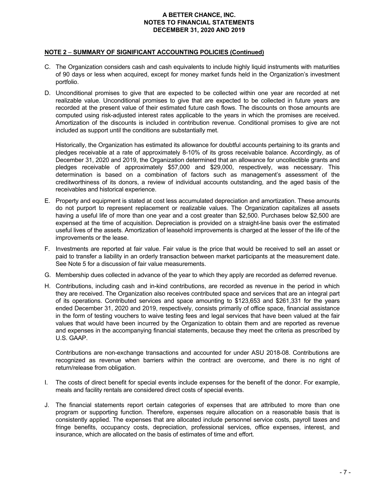#### **NOTE 2** – **SUMMARY OF SIGNIFICANT ACCOUNTING POLICIES (Continued)**

- C. The Organization considers cash and cash equivalents to include highly liquid instruments with maturities of 90 days or less when acquired, except for money market funds held in the Organization's investment portfolio.
- D. Unconditional promises to give that are expected to be collected within one year are recorded at net realizable value. Unconditional promises to give that are expected to be collected in future years are recorded at the present value of their estimated future cash flows. The discounts on those amounts are computed using risk-adjusted interest rates applicable to the years in which the promises are received. Amortization of the discounts is included in contribution revenue. Conditional promises to give are not included as support until the conditions are substantially met.

Historically, the Organization has estimated its allowance for doubtful accounts pertaining to its grants and pledges receivable at a rate of approximately 8-10% of its gross receivable balance. Accordingly, as of December 31, 2020 and 2019, the Organization determined that an allowance for uncollectible grants and pledges receivable of approximately \$57,000 and \$29,000, respectively, was necessary. This determination is based on a combination of factors such as management's assessment of the creditworthiness of its donors, a review of individual accounts outstanding, and the aged basis of the receivables and historical experience.

- E. Property and equipment is stated at cost less accumulated depreciation and amortization. These amounts do not purport to represent replacement or realizable values. The Organization capitalizes all assets having a useful life of more than one year and a cost greater than \$2,500. Purchases below \$2,500 are expensed at the time of acquisition. Depreciation is provided on a straight-line basis over the estimated useful lives of the assets. Amortization of leasehold improvements is charged at the lesser of the life of the improvements or the lease.
- F. Investments are reported at fair value. Fair value is the price that would be received to sell an asset or paid to transfer a liability in an orderly transaction between market participants at the measurement date. See Note 5 for a discussion of fair value measurements.
- G. Membership dues collected in advance of the year to which they apply are recorded as deferred revenue.
- H. Contributions, including cash and in-kind contributions, are recorded as revenue in the period in which they are received. The Organization also receives contributed space and services that are an integral part of its operations. Contributed services and space amounting to \$123,653 and \$261,331 for the years ended December 31, 2020 and 2019, respectively, consists primarily of office space, financial assistance in the form of testing vouchers to waive testing fees and legal services that have been valued at the fair values that would have been incurred by the Organization to obtain them and are reported as revenue and expenses in the accompanying financial statements, because they meet the criteria as prescribed by U.S. GAAP.

Contributions are non-exchange transactions and accounted for under ASU 2018-08. Contributions are recognized as revenue when barriers within the contract are overcome, and there is no right of return/release from obligation.

- I. The costs of direct benefit for special events include expenses for the benefit of the donor. For example, meals and facility rentals are considered direct costs of special events.
- J. The financial statements report certain categories of expenses that are attributed to more than one program or supporting function. Therefore, expenses require allocation on a reasonable basis that is consistently applied. The expenses that are allocated include personnel service costs, payroll taxes and fringe benefits, occupancy costs, depreciation, professional services, office expenses, interest, and insurance, which are allocated on the basis of estimates of time and effort.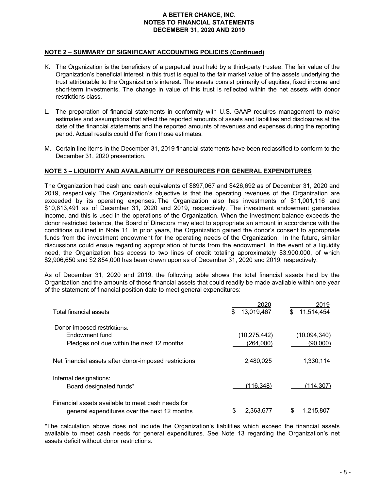#### **NOTE 2** – **SUMMARY OF SIGNIFICANT ACCOUNTING POLICIES (Continued)**

- K. The Organization is the beneficiary of a perpetual trust held by a third-party trustee. The fair value of the Organization's beneficial interest in this trust is equal to the fair market value of the assets underlying the trust attributable to the Organization's interest. The assets consist primarily of equities, fixed income and short-term investments. The change in value of this trust is reflected within the net assets with donor restrictions class.
- L. The preparation of financial statements in conformity with U.S. GAAP requires management to make estimates and assumptions that affect the reported amounts of assets and liabilities and disclosures at the date of the financial statements and the reported amounts of revenues and expenses during the reporting period. Actual results could differ from those estimates.
- M. Certain line items in the December 31, 2019 financial statements have been reclassified to conform to the December 31, 2020 presentation.

# **NOTE 3 – LIQUIDITY AND AVAILABILITY OF RESOURCES FOR GENERAL EXPENDITURES**

The Organization had cash and cash equivalents of \$897,067 and \$426,692 as of December 31, 2020 and 2019, respectively. The Organization's objective is that the operating revenues of the Organization are exceeded by its operating expenses. The Organization also has investments of \$11,001,116 and \$10,813,491 as of December 31, 2020 and 2019, respectively. The investment endowment generates income, and this is used in the operations of the Organization. When the investment balance exceeds the donor restricted balance, the Board of Directors may elect to appropriate an amount in accordance with the conditions outlined in Note 11. In prior years, the Organization gained the donor's consent to appropriate funds from the investment endowment for the operating needs of the Organization. In the future, similar discussions could ensue regarding appropriation of funds from the endowment. In the event of a liquidity need, the Organization has access to two lines of credit totaling approximately \$3,900,000, of which \$2,906,650 and \$2,854,000 has been drawn upon as of December 31, 2020 and 2019, respectively.

As of December 31, 2020 and 2019, the following table shows the total financial assets held by the Organization and the amounts of those financial assets that could readily be made available within one year of the statement of financial position date to meet general expenditures:

| Total financial assets                                                                            | 2020<br>13,019,467<br>\$    | 2019<br>\$<br>11,514,454        |
|---------------------------------------------------------------------------------------------------|-----------------------------|---------------------------------|
| Donor-imposed restrictions:<br>Endowment fund<br>Pledges not due within the next 12 months        | (10, 275, 442)<br>(264,000) | (10,094,340)<br><u>(90,000)</u> |
| Net financial assets after donor-imposed restrictions                                             | 2,480,025                   | 1,330,114                       |
| Internal designations:<br>Board designated funds*                                                 | (116,348)                   | (114,307)                       |
| Financial assets available to meet cash needs for<br>general expenditures over the next 12 months | 2.363.677                   | .215.807                        |

\*The calculation above does not include the Organization's liabilities which exceed the financial assets available to meet cash needs for general expenditures. See Note 13 regarding the Organization's net assets deficit without donor restrictions.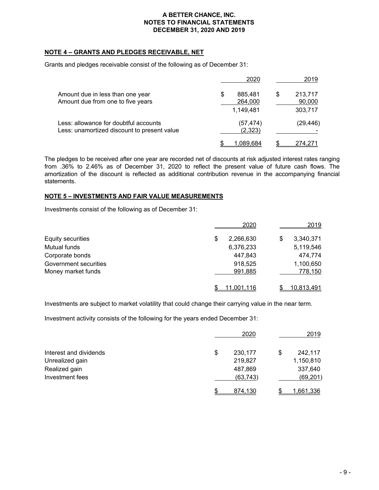## **NOTE 4 – GRANTS AND PLEDGES RECEIVABLE, NET**

Grants and pledges receivable consist of the following as of December 31:

|                                                                                      | 2020                                  | 2019                               |
|--------------------------------------------------------------------------------------|---------------------------------------|------------------------------------|
| Amount due in less than one year<br>Amount due from one to five years                | \$<br>885,481<br>264,000<br>1,149,481 | \$<br>213,717<br>90,000<br>303,717 |
| Less: allowance for doubtful accounts<br>Less: unamortized discount to present value | (57,474)<br>(2,323)                   | (29, 446)                          |
|                                                                                      | <u>1,089,684</u>                      | 274,271                            |

The pledges to be received after one year are recorded net of discounts at risk adjusted interest rates ranging from .36% to 2.46% as of December 31, 2020 to reflect the present value of future cash flows. The amortization of the discount is reflected as additional contribution revenue in the accompanying financial statements.

#### **NOTE 5 – INVESTMENTS AND FAIR VALUE MEASUREMENTS**

Investments consist of the following as of December 31:

|                       | 2020            |   | 2019              |
|-----------------------|-----------------|---|-------------------|
| Equity securities     | \$<br>2,266,630 | S | 3,340,371         |
| Mutual funds          | 6,376,233       |   | 5,119,546         |
| Corporate bonds       | 447,843         |   | 474,774           |
| Government securities | 918,525         |   | 1,100,650         |
| Money market funds    | 991,885         |   | 778,150           |
|                       | 11.001.116      |   | <u>10,813,491</u> |

Investments are subject to market volatility that could change their carrying value in the near term.

Investment activity consists of the following for the years ended December 31:

|                        | 2020          | 2019          |
|------------------------|---------------|---------------|
| Interest and dividends | \$<br>230,177 | \$<br>242,117 |
| Unrealized gain        | 219,827       | 1,150,810     |
| Realized gain          | 487,869       | 337,640       |
| Investment fees        | (63, 743)     | (69, 201)     |
|                        | 874,130       | 1,661,336     |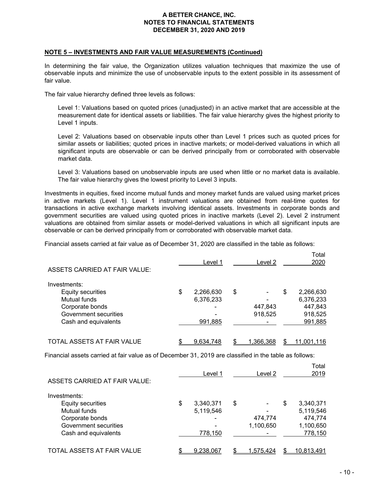#### **NOTE 5 – INVESTMENTS AND FAIR VALUE MEASUREMENTS (Continued)**

In determining the fair value, the Organization utilizes valuation techniques that maximize the use of observable inputs and minimize the use of unobservable inputs to the extent possible in its assessment of fair value.

The fair value hierarchy defined three levels as follows:

Level 1: Valuations based on quoted prices (unadjusted) in an active market that are accessible at the measurement date for identical assets or liabilities. The fair value hierarchy gives the highest priority to Level 1 inputs.

Level 2: Valuations based on observable inputs other than Level 1 prices such as quoted prices for similar assets or liabilities; quoted prices in inactive markets; or model-derived valuations in which all significant inputs are observable or can be derived principally from or corroborated with observable market data.

Level 3: Valuations based on unobservable inputs are used when little or no market data is available. The fair value hierarchy gives the lowest priority to Level 3 inputs.

Investments in equities, fixed income mutual funds and money market funds are valued using market prices in active markets (Level 1). Level 1 instrument valuations are obtained from real-time quotes for transactions in active exchange markets involving identical assets. Investments in corporate bonds and government securities are valued using quoted prices in inactive markets (Level 2). Level 2 instrument valuations are obtained from similar assets or model-derived valuations in which all significant inputs are observable or can be derived principally from or corroborated with observable market data.

Financial assets carried at fair value as of December 31, 2020 are classified in the table as follows:

| <b>ASSETS CARRIED AT FAIR VALUE:</b> | Level 1         | Level 2  | Total<br>2020   |
|--------------------------------------|-----------------|----------|-----------------|
| Investments:                         |                 |          |                 |
| Equity securities                    | \$<br>2,266,630 | \$       | \$<br>2,266,630 |
| Mutual funds                         | 6,376,233       |          | 6,376,233       |
| Corporate bonds                      |                 | 447,843  | 447,843         |
| Government securities                |                 | 918,525  | 918,525         |
| Cash and equivalents                 | 991,885         |          | 991,885         |
| TOTAL ASSETS AT FAIR VALUE           | 9,634,748       | .366,368 | 11,001,116      |

Financial assets carried at fair value as of December 31, 2019 are classified in the table as follows:

| ASSETS CARRIED AT FAIR VALUE: | Level 1         | Level 2   |   | Total<br>2019 |
|-------------------------------|-----------------|-----------|---|---------------|
| Investments:                  |                 |           |   |               |
| Equity securities             | \$<br>3,340,371 | \$        | S | 3,340,371     |
| Mutual funds                  | 5,119,546       |           |   | 5,119,546     |
| Corporate bonds               |                 | 474,774   |   | 474,774       |
| Government securities         |                 | 1,100,650 |   | 1,100,650     |
| Cash and equivalents          | 778,150         |           |   | 778,150       |
| TOTAL ASSETS AT FAIR VALUE    | 9,238,067       | 1.575.424 |   | 10,813,491    |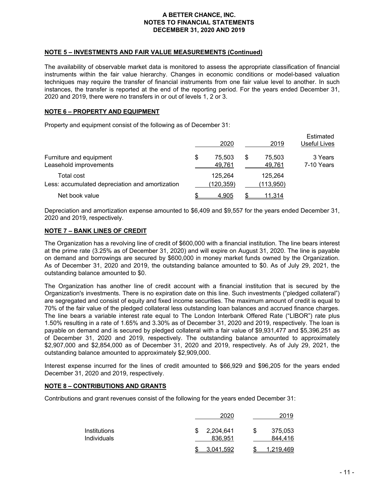#### **NOTE 5 – INVESTMENTS AND FAIR VALUE MEASUREMENTS (Continued)**

The availability of observable market data is monitored to assess the appropriate classification of financial instruments within the fair value hierarchy. Changes in economic conditions or model-based valuation techniques may require the transfer of financial instruments from one fair value level to another. In such instances, the transfer is reported at the end of the reporting period. For the years ended December 31, 2020 and 2019, there were no transfers in or out of levels 1, 2 or 3.

#### **NOTE 6 – PROPERTY AND EQUIPMENT**

Property and equipment consist of the following as of December 31:

|                                                               | 2020                   | 2019                   | Estimated<br>Useful Lives |
|---------------------------------------------------------------|------------------------|------------------------|---------------------------|
| Furniture and equipment<br>Leasehold improvements             | \$<br>75.503<br>49,761 | \$<br>75,503<br>49,761 | 3 Years<br>7-10 Years     |
| Total cost<br>Less: accumulated depreciation and amortization | 125.264<br>(120, 359)  | 125.264<br>(113,950)   |                           |
| Net book value                                                | 4,905                  | 11.314                 |                           |

Depreciation and amortization expense amounted to \$6,409 and \$9,557 for the years ended December 31, 2020 and 2019, respectively.

#### **NOTE 7 – BANK LINES OF CREDIT**

The Organization has a revolving line of credit of \$600,000 with a financial institution. The line bears interest at the prime rate (3.25% as of December 31, 2020) and will expire on August 31, 2020. The line is payable on demand and borrowings are secured by \$600,000 in money market funds owned by the Organization. As of December 31, 2020 and 2019, the outstanding balance amounted to \$0. As of July 29, 2021, the outstanding balance amounted to \$0.

The Organization has another line of credit account with a financial institution that is secured by the Organization's investments. There is no expiration date on this line. Such investments ("pledged collateral") are segregated and consist of equity and fixed income securities. The maximum amount of credit is equal to 70% of the fair value of the pledged collateral less outstanding loan balances and accrued finance charges. The line bears a variable interest rate equal to The London Interbank Offered Rate ("LIBOR") rate plus 1.50% resulting in a rate of 1.65% and 3.30% as of December 31, 2020 and 2019, respectively. The loan is payable on demand and is secured by pledged collateral with a fair value of \$9,931,477 and \$5,396,251 as of December 31, 2020 and 2019, respectively. The outstanding balance amounted to approximately \$2,907,000 and \$2,854,000 as of December 31, 2020 and 2019, respectively. As of July 29, 2021, the outstanding balance amounted to approximately \$2,909,000.

Interest expense incurred for the lines of credit amounted to \$66,929 and \$96,205 for the years ended December 31, 2020 and 2019, respectively.

# **NOTE 8 – CONTRIBUTIONS AND GRANTS**

Contributions and grant revenues consist of the following for the years ended December 31:

|                                           | 2020                       | 2019 |                    |  |
|-------------------------------------------|----------------------------|------|--------------------|--|
| <b>Institutions</b><br><b>Individuals</b> | \$<br>2,204,641<br>836,951 | S    | 375,053<br>844,416 |  |
|                                           | 3.041.592                  |      | <u>1,219,469</u>   |  |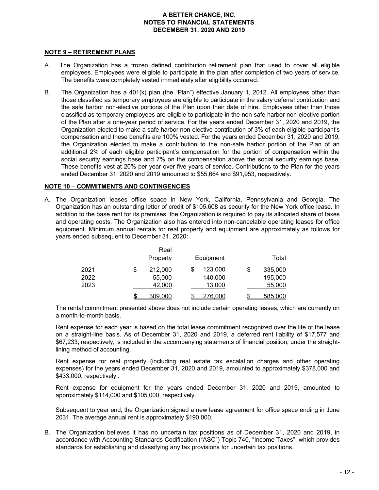#### **NOTE 9 – RETIREMENT PLANS**

- A. The Organization has a frozen defined contribution retirement plan that used to cover all eligible employees. Employees were eligible to participate in the plan after completion of two years of service. The benefits were completely vested immediately after eligibility occurred.
- B. The Organization has a 401(k) plan (the "Plan") effective January 1, 2012. All employees other than those classified as temporary employees are eligible to participate in the salary deferral contribution and the safe harbor non-elective portions of the Plan upon their date of hire. Employees other than those classified as temporary employees are eligible to participate in the non-safe harbor non-elective portion of the Plan after a one-year period of service. For the years ended December 31, 2020 and 2019, the Organization elected to make a safe harbor non-elective contribution of 3% of each eligible participant's compensation and these benefits are 100% vested. For the years ended December 31, 2020 and 2019, the Organization elected to make a contribution to the non-safe harbor portion of the Plan of an additional 2% of each eligible participant's compensation for the portion of compensation within the social security earnings base and 7% on the compensation above the social security earnings base. These benefits vest at 20% per year over five years of service. Contributions to the Plan for the years ended December 31, 2020 and 2019 amounted to \$55,664 and \$91,953, respectively.

# **NOTE 10** – **COMMITMENTS AND CONTINGENCIES**

A. The Organization leases office space in New York, California, Pennsylvania and Georgia. The Organization has an outstanding letter of credit of \$105,608 as security for the New York office lease. In addition to the base rent for its premises, the Organization is required to pay its allocated share of taxes and operating costs. The Organization also has entered into non-cancelable operating leases for office equipment. Minimum annual rentals for real property and equipment are approximately as follows for years ended subsequent to December 31, 2020:

|      | Real          |           |         |               |
|------|---------------|-----------|---------|---------------|
|      | Property      | Equipment |         | Total         |
| 2021 | \$<br>212,000 | \$        | 123,000 | \$<br>335,000 |
| 2022 | 55,000        |           | 140,000 | 195,000       |
| 2023 | 42,000        |           | 13,000  | 55,000        |
|      | 309,000       |           | 276,000 | \$<br>585,000 |

The rental commitment presented above does not include certain operating leases, which are currently on a month-to-month basis.

Rent expense for each year is based on the total lease commitment recognized over the life of the lease on a straight-line basis. As of December 31, 2020 and 2019, a deferred rent liability of \$17,577 and \$67,233, respectively, is included in the accompanying statements of financial position, under the straightlining method of accounting.

Rent expense for real property (including real estate tax escalation charges and other operating expenses) for the years ended December 31, 2020 and 2019, amounted to approximately \$378,000 and \$433,000, respectively .

Rent expense for equipment for the years ended December 31, 2020 and 2019, amounted to approximately \$114,000 and \$105,000, respectively.

Subsequent to year end, the Organization signed a new lease agreement for office space ending in June 2031. The average annual rent is approximately \$190,000.

B. The Organization believes it has no uncertain tax positions as of December 31, 2020 and 2019, in accordance with Accounting Standards Codification ("ASC") Topic 740, "Income Taxes", which provides standards for establishing and classifying any tax provisions for uncertain tax positions.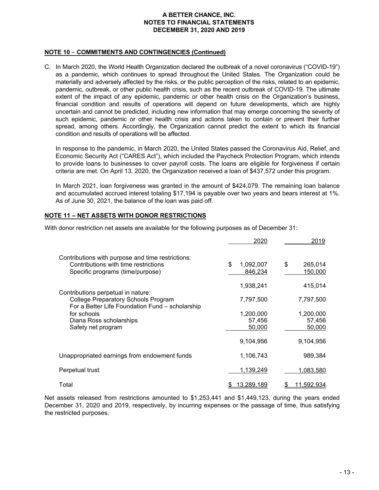#### **NOTE 10** – **COMMITMENTS AND CONTINGENCIES (Continued)**

C. In March 2020, the World Health Organization declared the outbreak of a novel coronavirus ("COVID-19") as a pandemic, which continues to spread throughout the United States. The Organization could be materially and adversely affected by the risks, or the public perception of the risks, related to an epidemic, pandemic, outbreak, or other public health crisis, such as the recent outbreak of COVID-19. The ultimate extent of the impact of any epidemic, pandemic or other health crisis on the Organization's business, financial condition and results of operations will depend on future developments, which are highly uncertain and cannot be predicted, including new information that may emerge concerning the severity of such epidemic, pandemic or other health crisis and actions taken to contain or prevent their further spread, among others. Accordingly, the Organization cannot predict the extent to which its financial condition and results of operations will be affected.

In response to the pandemic, in March 2020, the United States passed the Coronavirus Aid, Relief, and Economic Security Act ("CARES Act"), which included the Paycheck Protection Program, which intends to provide loans to businesses to cover payroll costs. The loans are eligible for forgiveness if certain criteria are met. On April 13, 2020, the Organization received a loan of \$437,572 under this program.

In March 2021, loan forgiveness was granted in the amount of \$424,079. The remaining loan balance and accumulated accrued interest totaling \$17,194 is payable over two years and bears interest at 1%. As of June 30, 2021, the balance of the loan was paid off.

# **NOTE 11 – NET ASSETS WITH DONOR RESTRICTIONS**

|                                                                                                                               | 2020                       | 2019                     |
|-------------------------------------------------------------------------------------------------------------------------------|----------------------------|--------------------------|
| Contributions with purpose and time restrictions:<br>Contributions with time restrictions<br>Specific programs (time/purpose) | \$<br>1,092,007<br>846,234 | \$<br>265,014<br>150,000 |
|                                                                                                                               | 1,938,241                  | 415,014                  |
| Contributions perpetual in nature:<br>College Preparatory Schools Program<br>For a Better Life Foundation Fund - scholarship  | 7,797,500                  | 7,797,500                |
| for schools                                                                                                                   | 1.200.000                  | 1.200.000                |
| Diana Ross scholarships                                                                                                       | 57,456                     | 57,456                   |
| Safety net program                                                                                                            | 50,000                     | 50,000                   |
|                                                                                                                               | 9,104,956                  | 9,104,956                |
| Unappropriated earnings from endowment funds                                                                                  | 1,106,743                  | 989,384                  |
| Perpetual trust                                                                                                               | 1,139,249                  | 1,083,580                |
| Total                                                                                                                         | <u>13,289,189</u><br>\$    | <u>11,592,934</u><br>\$  |

With donor restriction net assets are available for the following purposes as of December 31:

Net assets released from restrictions amounted to \$1,253,441 and \$1,449,123, during the years ended December 31, 2020 and 2019, respectively, by incurring expenses or the passage of time, thus satisfying the restricted purposes.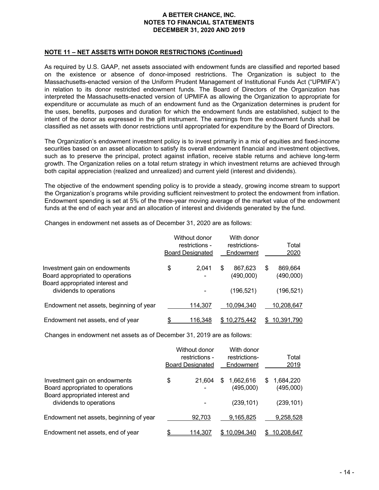#### **NOTE 11 – NET ASSETS WITH DONOR RESTRICTIONS (Continued)**

As required by U.S. GAAP, net assets associated with endowment funds are classified and reported based on the existence or absence of donor-imposed restrictions. The Organization is subject to the Massachusetts-enacted version of the Uniform Prudent Management of Institutional Funds Act ("UPMIFA") in relation to its donor restricted endowment funds. The Board of Directors of the Organization has interpreted the Massachusetts-enacted version of UPMIFA as allowing the Organization to appropriate for expenditure or accumulate as much of an endowment fund as the Organization determines is prudent for the uses, benefits, purposes and duration for which the endowment funds are established, subject to the intent of the donor as expressed in the gift instrument. The earnings from the endowment funds shall be classified as net assets with donor restrictions until appropriated for expenditure by the Board of Directors.

The Organization's endowment investment policy is to invest primarily in a mix of equities and fixed-income securities based on an asset allocation to satisfy its overall endowment financial and investment objectives, such as to preserve the principal, protect against inflation, receive stable returns and achieve long-term growth. The Organization relies on a total return strategy in which investment returns are achieved through both capital appreciation (realized and unrealized) and current yield (interest and dividends).

The objective of the endowment spending policy is to provide a steady, growing income stream to support the Organization's programs while providing sufficient reinvestment to protect the endowment from inflation. Endowment spending is set at 5% of the three-year moving average of the market value of the endowment funds at the end of each year and an allocation of interest and dividends generated by the fund.

Changes in endowment net assets as of December 31, 2020 are as follows:

|                                                                                                      | Without donor<br>restrictions -<br><b>Board Designated</b> |            | With donor<br>restrictions-<br>Endowment |                      | Total<br>2020 |                      |
|------------------------------------------------------------------------------------------------------|------------------------------------------------------------|------------|------------------------------------------|----------------------|---------------|----------------------|
| Investment gain on endowments<br>Board appropriated to operations<br>Board appropriated interest and | \$                                                         | 2.041<br>٠ | S                                        | 867.623<br>(490,000) | \$            | 869.664<br>(490,000) |
| dividends to operations                                                                              |                                                            |            |                                          | (196, 521)           |               | (196, 521)           |
| Endowment net assets, beginning of year                                                              |                                                            | 114.307    |                                          | 10.094.340           |               | 10,208,647           |
| Endowment net assets, end of year                                                                    | \$                                                         | 116.348    | S.                                       | 10.275.442           | \$.           | 10.391.790           |

Changes in endowment net assets as of December 31, 2019 are as follows:

|                                                                                                      | Without donor<br>restrictions -<br><b>Board Designated</b> |    | With donor<br>restrictions-<br>Endowment |   | Total<br>2019          |
|------------------------------------------------------------------------------------------------------|------------------------------------------------------------|----|------------------------------------------|---|------------------------|
| Investment gain on endowments<br>Board appropriated to operations<br>Board appropriated interest and | \$<br>21.604<br>-                                          | S  | 1,662,616<br>(495,000)                   | S | 1,684,220<br>(495,000) |
| dividends to operations                                                                              |                                                            |    | (239, 101)                               |   | (239, 101)             |
| Endowment net assets, beginning of year                                                              | 92.703                                                     |    | 9,165,825                                |   | 9,258,528              |
| Endowment net assets, end of year                                                                    | <u>114,307</u>                                             | S. | <u>10,094,340</u>                        |   | 10,208,647             |